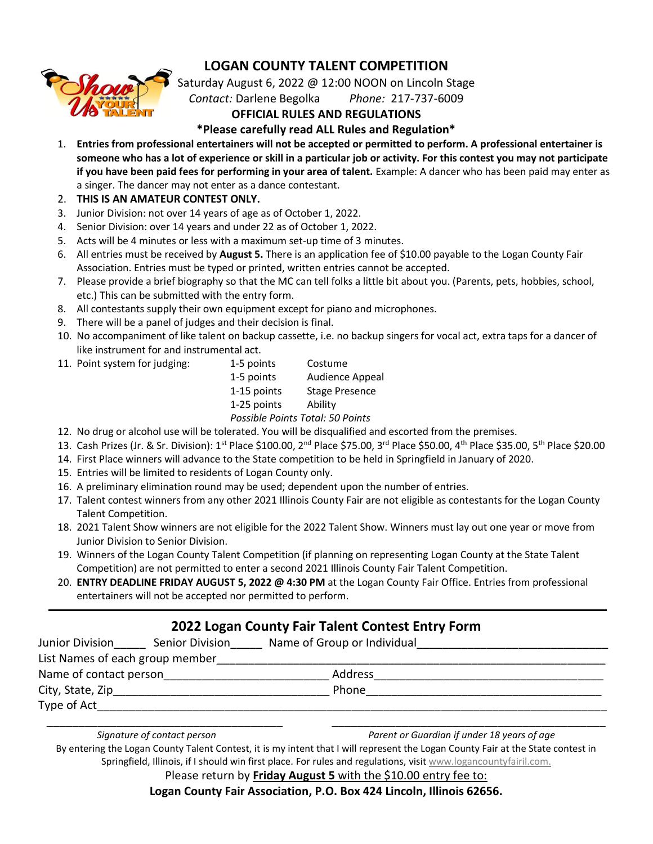### **LOGAN COUNTY TALENT COMPETITION**



Saturday August 6, 2022 @ 12:00 NOON on Lincoln Stage *Contact:* Darlene Begolka *Phone:* 217-737-6009

#### **OFFICIAL RULES AND REGULATIONS**

**\*Please carefully read ALL Rules and Regulation\***

- 1. **Entries from professional entertainers will not be accepted or permitted to perform. A professional entertainer is someone who has a lot of experience or skill in a particular job or activity. For this contest you may not participate if you have been paid fees for performing in your area of talent.** Example: A dancer who has been paid may enter as a singer. The dancer may not enter as a dance contestant.
- 2. **THIS IS AN AMATEUR CONTEST ONLY.**
- 3. Junior Division: not over 14 years of age as of October 1, 2022.
- 4. Senior Division: over 14 years and under 22 as of October 1, 2022.
- 5. Acts will be 4 minutes or less with a maximum set-up time of 3 minutes.
- 6. All entries must be received by **August 5.** There is an application fee of \$10.00 payable to the Logan County Fair Association. Entries must be typed or printed, written entries cannot be accepted.
- 7. Please provide a brief biography so that the MC can tell folks a little bit about you. (Parents, pets, hobbies, school, etc.) This can be submitted with the entry form.
- 8. All contestants supply their own equipment except for piano and microphones.
- 9. There will be a panel of judges and their decision is final.
- 10. No accompaniment of like talent on backup cassette, i.e. no backup singers for vocal act, extra taps for a dancer of like instrument for and instrumental act.
- 11. Point system for judging: 1-5 points Costume

1-5 points Audience Appeal 1-15 points Stage Presence 1-25 points Ability *Possible Points Total: 50 Points*

- 12. No drug or alcohol use will be tolerated. You will be disqualified and escorted from the premises.
- 13. Cash Prizes (Jr. & Sr. Division): 1st Place \$100.00, 2nd Place \$75.00, 3rd Place \$50.00, 4th Place \$35.00, 5th Place \$20.00
- 14. First Place winners will advance to the State competition to be held in Springfield in January of 2020.
- 15. Entries will be limited to residents of Logan County only.
- 16. A preliminary elimination round may be used; dependent upon the number of entries.
- 17. Talent contest winners from any other 2021 Illinois County Fair are not eligible as contestants for the Logan County Talent Competition.
- 18. 2021 Talent Show winners are not eligible for the 2022 Talent Show. Winners must lay out one year or move from Junior Division to Senior Division.
- 19. Winners of the Logan County Talent Competition (if planning on representing Logan County at the State Talent Competition) are not permitted to enter a second 2021 Illinois County Fair Talent Competition.
- 20. **ENTRY DEADLINE FRIDAY AUGUST 5, 2022 @ 4:30 PM** at the Logan County Fair Office. Entries from professional entertainers will not be accepted nor permitted to perform.

### **2022 Logan County Fair Talent Contest Entry Form**

| Junior Division                 | Senior Division | Name of Group or Individual |  |
|---------------------------------|-----------------|-----------------------------|--|
| List Names of each group member |                 |                             |  |
| Name of contact person          |                 | Address                     |  |
| City, State, Zip                |                 | Phone                       |  |
| Type of Act                     |                 |                             |  |

| Signature of contact persor |  |
|-----------------------------|--|
|                             |  |

\_\_\_\_\_\_\_\_\_\_\_\_\_\_\_\_\_\_\_\_\_\_\_\_\_\_\_\_\_\_\_\_\_\_\_\_\_ \_\_\_\_\_\_\_\_\_\_\_\_\_\_\_\_\_\_\_\_\_\_\_\_\_\_\_\_\_\_\_\_\_\_\_\_\_\_\_\_\_\_\_ *Signature of contact person Parent or Guardian if under 18 years of age*

By entering the Logan County Talent Contest, it is my intent that I will represent the Logan County Fair at the State contest in Springfield, Illinois, if I should win first place. For rules and regulations, visit [www.logancountyfairil.com.](http://www.logancountyfairil.com/)

Please return by **Friday August 5** with the \$10.00 entry fee to:

**Logan County Fair Association, P.O. Box 424 Lincoln, Illinois 62656.**